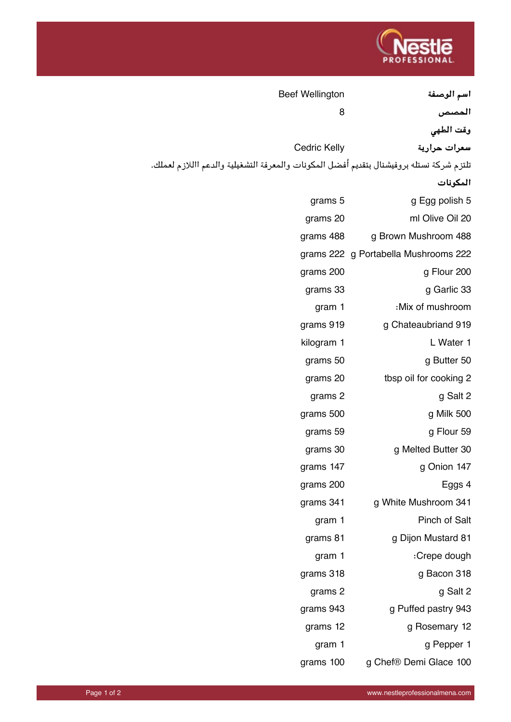

| <b>Beef Wellington</b>                                                                   |                                      |
|------------------------------------------------------------------------------------------|--------------------------------------|
| 8                                                                                        | اسم الوصفة<br>ألمصص                  |
|                                                                                          | وقت الطهي                            |
| <b>Cedric Kelly</b>                                                                      | سعرات حرارية                         |
| تلتزم شركة نستله بروفيشنال بتقديم أفضل المكونات والمعرفة التشغيلية والدعم االلازم لعملك. |                                      |
|                                                                                          | المكونات                             |
| grams 5                                                                                  | g Egg polish 5                       |
| grams 20                                                                                 | ml Olive Oil 20                      |
| grams 488                                                                                | g Brown Mushroom 488                 |
|                                                                                          | grams 222 g Portabella Mushrooms 222 |
| grams 200                                                                                | g Flour 200                          |
| grams 33                                                                                 | g Garlic 33                          |
| gram 1                                                                                   | :Mix of mushroom                     |
| grams 919                                                                                | g Chateaubriand 919                  |
| kilogram 1                                                                               | L Water 1                            |
| grams 50                                                                                 | g Butter 50                          |
| grams 20                                                                                 | tbsp oil for cooking 2               |
| grams 2                                                                                  | g Salt 2                             |
| grams 500                                                                                | g Milk 500                           |
| grams 59                                                                                 | g Flour 59                           |
| grams 30                                                                                 | g Melted Butter 30                   |
| grams 147                                                                                | g Onion 147                          |
| grams 200                                                                                | Eggs 4                               |
| grams 341                                                                                | g White Mushroom 341                 |
| gram 1                                                                                   | Pinch of Salt                        |
| grams 81                                                                                 | g Dijon Mustard 81                   |
| gram 1                                                                                   | :Crepe dough                         |
| grams 318                                                                                | g Bacon 318                          |
| grams 2                                                                                  | g Salt 2                             |
| grams 943                                                                                | g Puffed pastry 943                  |
| grams 12                                                                                 | g Rosemary 12                        |
| gram 1                                                                                   | g Pepper 1                           |
| grams 100                                                                                | g Chef® Demi Glace 100               |